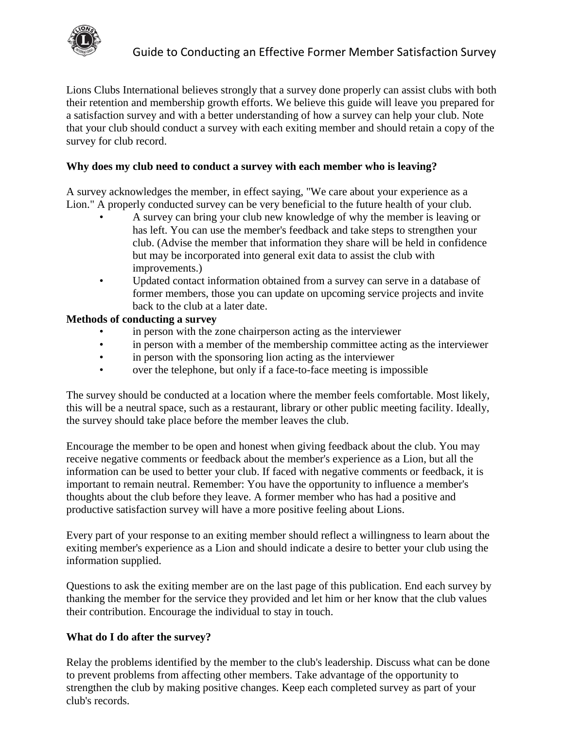

Lions Clubs International believes strongly that a survey done properly can assist clubs with both their retention and membership growth efforts. We believe this guide will leave you prepared for a satisfaction survey and with a better understanding of how a survey can help your club. Note that your club should conduct a survey with each exiting member and should retain a copy of the survey for club record.

## **Why does my club need to conduct a survey with each member who is leaving?**

A survey acknowledges the member, in effect saying, "We care about your experience as a Lion." A properly conducted survey can be very beneficial to the future health of your club.

- A survey can bring your club new knowledge of why the member is leaving or has left. You can use the member's feedback and take steps to strengthen your club. (Advise the member that information they share will be held in confidence but may be incorporated into general exit data to assist the club with improvements.)
- Updated contact information obtained from a survey can serve in a database of former members, those you can update on upcoming service projects and invite back to the club at a later date.

### **Methods of conducting a survey**

- in person with the zone chairperson acting as the interviewer
- in person with a member of the membership committee acting as the interviewer
- in person with the sponsoring lion acting as the interviewer
- over the telephone, but only if a face-to-face meeting is impossible

The survey should be conducted at a location where the member feels comfortable. Most likely, this will be a neutral space, such as a restaurant, library or other public meeting facility. Ideally, the survey should take place before the member leaves the club.

Encourage the member to be open and honest when giving feedback about the club. You may receive negative comments or feedback about the member's experience as a Lion, but all the information can be used to better your club. If faced with negative comments or feedback, it is important to remain neutral. Remember: You have the opportunity to influence a member's thoughts about the club before they leave. A former member who has had a positive and productive satisfaction survey will have a more positive feeling about Lions.

Every part of your response to an exiting member should reflect a willingness to learn about the exiting member's experience as a Lion and should indicate a desire to better your club using the information supplied.

Questions to ask the exiting member are on the last page of this publication. End each survey by thanking the member for the service they provided and let him or her know that the club values their contribution. Encourage the individual to stay in touch.

### **What do I do after the survey?**

Relay the problems identified by the member to the club's leadership. Discuss what can be done to prevent problems from affecting other members. Take advantage of the opportunity to strengthen the club by making positive changes. Keep each completed survey as part of your club's records.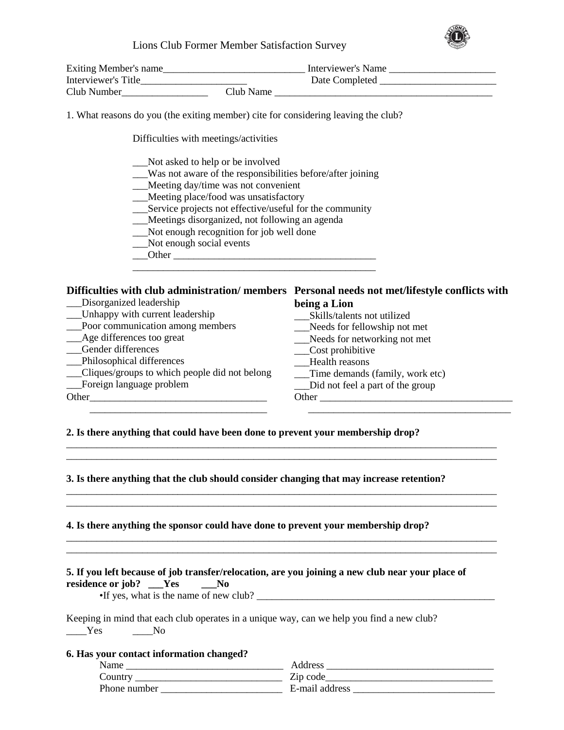#### Lions Club Former Member Satisfaction Survey



| Exiting Member's name | Interviewer's Name |
|-----------------------|--------------------|
| Interviewer's Title   | Date Completed     |
| Club Number           | Club Name          |

1. What reasons do you (the exiting member) cite for considering leaving the club?

Difficulties with meetings/activities

- \_\_\_Not asked to help or be involved
- \_\_\_Was not aware of the responsibilities before/after joining
- \_\_\_Meeting day/time was not convenient
- \_\_\_Meeting place/food was unsatisfactory
- \_\_\_Service projects not effective/useful for the community
- \_\_\_Meetings disorganized, not following an agenda
- \_\_\_Not enough recognition for job well done
- \_\_\_Not enough social events
- \_\_\_Other \_\_\_\_\_\_\_\_\_\_\_\_\_\_\_\_\_\_\_\_\_\_\_\_\_\_\_\_\_\_\_\_\_\_\_\_\_\_\_\_

#### **Difficulties with club administration/ members Personal needs not met/lifestyle conflicts with**  Disorganized leadership **being a Lion**

\_\_\_Unhappy with current leadership \_\_\_Poor communication among members Age differences too great \_\_\_Gender differences \_\_\_Philosophical differences \_\_\_Cliques/groups to which people did not belong \_\_\_Foreign language problem \_\_\_Skills/talents not utilized \_\_\_Needs for fellowship not met \_\_\_Needs for networking not met \_\_\_Cost prohibitive \_\_\_Health reasons \_\_\_Time demands (family, work etc) \_\_\_Did not feel a part of the group Other\_\_\_\_\_\_\_\_\_\_\_\_\_\_\_\_\_\_\_\_\_\_\_\_\_\_\_\_\_\_\_\_\_\_\_ Other \_\_\_\_\_\_\_\_\_\_\_\_\_\_\_\_\_\_\_\_\_\_\_\_\_\_\_\_\_\_\_\_\_\_\_\_\_\_ \_\_\_\_\_\_\_\_\_\_\_\_\_\_\_\_\_\_\_\_\_\_\_\_\_\_\_\_\_\_\_\_\_\_\_ \_\_\_\_\_\_\_\_\_\_\_\_\_\_\_\_\_\_\_\_\_\_\_\_\_\_\_\_\_\_\_\_\_\_\_\_\_\_\_\_

\_\_\_\_\_\_\_\_\_\_\_\_\_\_\_\_\_\_\_\_\_\_\_\_\_\_\_\_\_\_\_\_\_\_\_\_\_\_\_\_\_\_\_\_\_\_\_\_\_\_\_\_\_\_\_\_\_\_\_\_\_\_\_\_\_\_\_\_\_\_\_\_\_\_\_\_\_\_\_\_\_\_\_\_\_ \_\_\_\_\_\_\_\_\_\_\_\_\_\_\_\_\_\_\_\_\_\_\_\_\_\_\_\_\_\_\_\_\_\_\_\_\_\_\_\_\_\_\_\_\_\_\_\_\_\_\_\_\_\_\_\_\_\_\_\_\_\_\_\_\_\_\_\_\_\_\_\_\_\_\_\_\_\_\_\_\_\_\_\_\_

\_\_\_\_\_\_\_\_\_\_\_\_\_\_\_\_\_\_\_\_\_\_\_\_\_\_\_\_\_\_\_\_\_\_\_\_\_\_\_\_\_\_\_\_\_\_\_\_\_\_\_\_\_\_\_\_\_\_\_\_\_\_\_\_\_\_\_\_\_\_\_\_\_\_\_\_\_\_\_\_\_\_\_\_\_ \_\_\_\_\_\_\_\_\_\_\_\_\_\_\_\_\_\_\_\_\_\_\_\_\_\_\_\_\_\_\_\_\_\_\_\_\_\_\_\_\_\_\_\_\_\_\_\_\_\_\_\_\_\_\_\_\_\_\_\_\_\_\_\_\_\_\_\_\_\_\_\_\_\_\_\_\_\_\_\_\_\_\_\_\_

\_\_\_\_\_\_\_\_\_\_\_\_\_\_\_\_\_\_\_\_\_\_\_\_\_\_\_\_\_\_\_\_\_\_\_\_\_\_\_\_\_\_\_\_\_\_\_\_\_\_\_\_\_\_\_\_\_\_\_\_\_\_\_\_\_\_\_\_\_\_\_\_\_\_\_\_\_\_\_\_\_\_\_\_\_ \_\_\_\_\_\_\_\_\_\_\_\_\_\_\_\_\_\_\_\_\_\_\_\_\_\_\_\_\_\_\_\_\_\_\_\_\_\_\_\_\_\_\_\_\_\_\_\_\_\_\_\_\_\_\_\_\_\_\_\_\_\_\_\_\_\_\_\_\_\_\_\_\_\_\_\_\_\_\_\_\_\_\_\_\_

### **2. Is there anything that could have been done to prevent your membership drop?**

### **3. Is there anything that the club should consider changing that may increase retention?**

#### **4. Is there anything the sponsor could have done to prevent your membership drop?**

|                          |  | 5. If you left because of job transfer/relocation, are you joining a new club near your place of |  |  |  |
|--------------------------|--|--------------------------------------------------------------------------------------------------|--|--|--|
| residence or job? ___Yes |  | No.                                                                                              |  |  |  |

•If yes, what is the name of new club?

Keeping in mind that each club operates in a unique way, can we help you find a new club? \_\_\_\_Yes \_\_\_\_No

#### **6. Has your contact information changed?**

| Name         | Address        |
|--------------|----------------|
| Country      | Zip code       |
| Phone number | E-mail address |